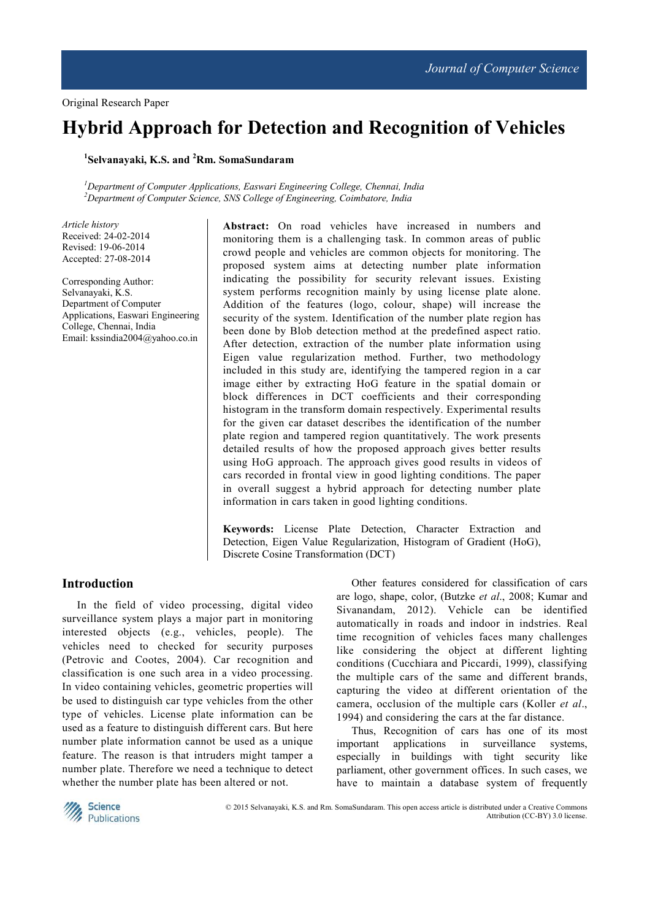# **Hybrid Approach for Detection and Recognition of Vehicles**

**1 Selvanayaki, K.S. and <sup>2</sup>Rm. SomaSundaram** 

*<sup>1</sup>Department of Computer Applications, Easwari Engineering College, Chennai, India <sup>2</sup>Department of Computer Science, SNS College of Engineering, Coimbatore, India* 

*Article history* Received: 24-02-2014 Revised: 19-06-2014 Accepted: 27-08-2014

Corresponding Author: Selvanayaki, K.S. Department of Computer Applications, Easwari Engineering College, Chennai, India Email: kssindia2004@yahoo.co.in **Abstract:** On road vehicles have increased in numbers and monitoring them is a challenging task. In common areas of public crowd people and vehicles are common objects for monitoring. The proposed system aims at detecting number plate information indicating the possibility for security relevant issues. Existing system performs recognition mainly by using license plate alone. Addition of the features (logo, colour, shape) will increase the security of the system. Identification of the number plate region has been done by Blob detection method at the predefined aspect ratio. After detection, extraction of the number plate information using Eigen value regularization method. Further, two methodology included in this study are, identifying the tampered region in a car image either by extracting HoG feature in the spatial domain or block differences in DCT coefficients and their corresponding histogram in the transform domain respectively. Experimental results for the given car dataset describes the identification of the number plate region and tampered region quantitatively. The work presents detailed results of how the proposed approach gives better results using HoG approach. The approach gives good results in videos of cars recorded in frontal view in good lighting conditions. The paper in overall suggest a hybrid approach for detecting number plate information in cars taken in good lighting conditions.

**Keywords:** License Plate Detection, Character Extraction and Detection, Eigen Value Regularization, Histogram of Gradient (HoG), Discrete Cosine Transformation (DCT)

# **Introduction**

In the field of video processing, digital video surveillance system plays a major part in monitoring interested objects (e.g., vehicles, people). The vehicles need to checked for security purposes (Petrovic and Cootes, 2004). Car recognition and classification is one such area in a video processing. In video containing vehicles, geometric properties will be used to distinguish car type vehicles from the other type of vehicles. License plate information can be used as a feature to distinguish different cars. But here number plate information cannot be used as a unique feature. The reason is that intruders might tamper a number plate. Therefore we need a technique to detect whether the number plate has been altered or not.

Other features considered for classification of cars are logo, shape, color, (Butzke *et al*., 2008; Kumar and Sivanandam, 2012). Vehicle can be identified automatically in roads and indoor in indstries. Real time recognition of vehicles faces many challenges like considering the object at different lighting conditions (Cucchiara and Piccardi, 1999), classifying the multiple cars of the same and different brands, capturing the video at different orientation of the camera, occlusion of the multiple cars (Koller *et al*., 1994) and considering the cars at the far distance.

Thus, Recognition of cars has one of its most important applications in surveillance systems, especially in buildings with tight security like parliament, other government offices. In such cases, we have to maintain a database system of frequently



© 2015 Selvanayaki, K.S. and Rm. SomaSundaram. This open access article is distributed under a Creative Commons Attribution (CC-BY) 3.0 license.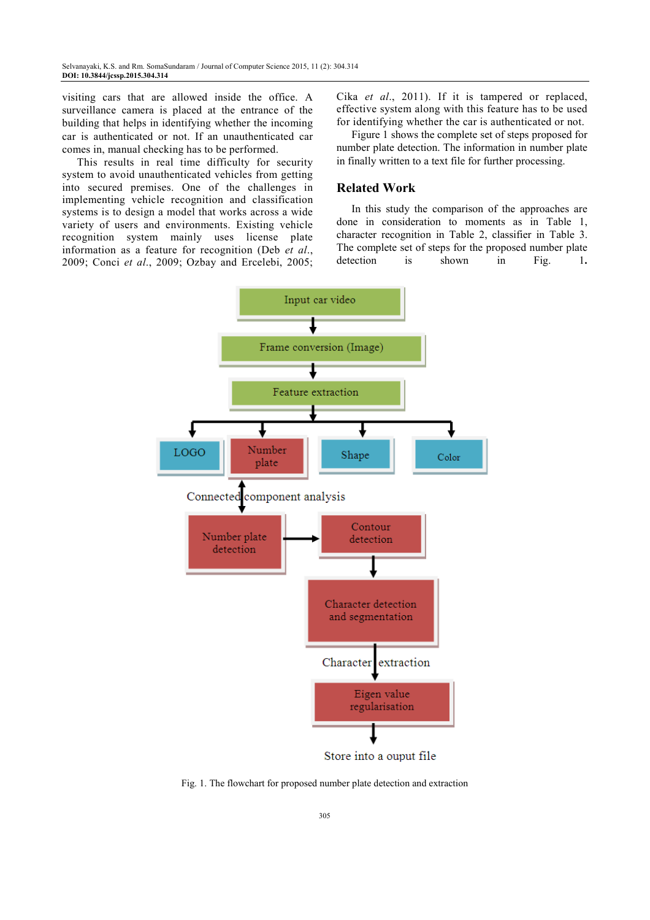visiting cars that are allowed inside the office. A surveillance camera is placed at the entrance of the building that helps in identifying whether the incoming car is authenticated or not. If an unauthenticated car comes in, manual checking has to be performed.

This results in real time difficulty for security system to avoid unauthenticated vehicles from getting into secured premises. One of the challenges in implementing vehicle recognition and classification systems is to design a model that works across a wide variety of users and environments. Existing vehicle recognition system mainly uses license plate information as a feature for recognition (Deb *et al*., 2009; Conci *et al*., 2009; Ozbay and Ercelebi, 2005;

Cika *et al*., 2011). If it is tampered or replaced, effective system along with this feature has to be used for identifying whether the car is authenticated or not.

Figure 1 shows the complete set of steps proposed for number plate detection. The information in number plate in finally written to a text file for further processing.

## **Related Work**

In this study the comparison of the approaches are done in consideration to moments as in Table 1, character recognition in Table 2, classifier in Table 3. The complete set of steps for the proposed number plate detection is shown in Fig. 1.



Fig. 1. The flowchart for proposed number plate detection and extraction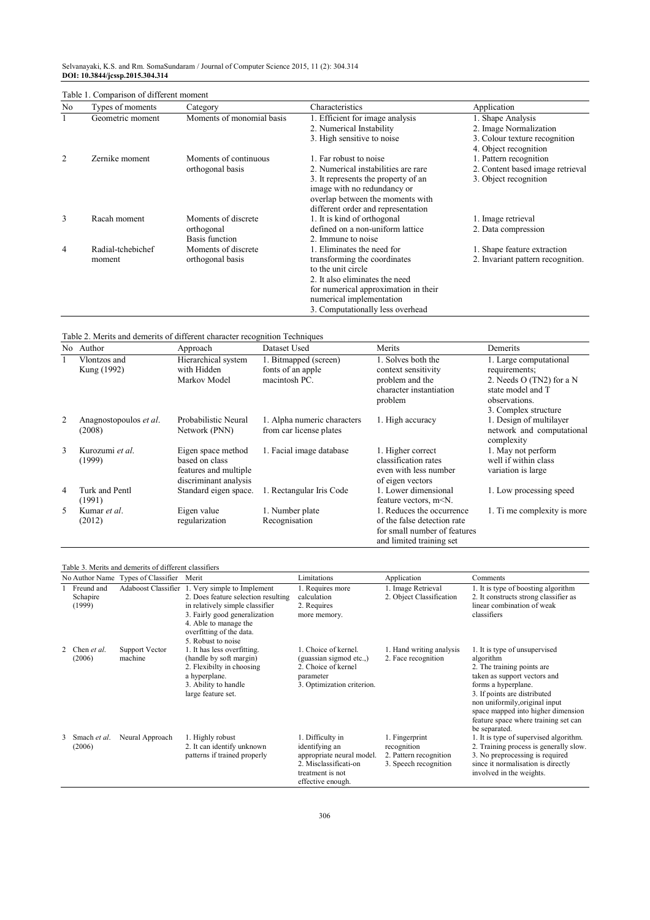Selvanayaki, K.S. and Rm. SomaSundaram / Journal of Computer Science 2015, 11 (2): 304.314 **DOI: 10.3844/jcssp.2015.304.314** 

|                | Table 1. Comparison of different moment |                                                     |                                                                                                                                              |                                                                  |  |  |  |
|----------------|-----------------------------------------|-----------------------------------------------------|----------------------------------------------------------------------------------------------------------------------------------------------|------------------------------------------------------------------|--|--|--|
| No             | Types of moments                        | Category                                            | Characteristics                                                                                                                              | Application                                                      |  |  |  |
|                | Geometric moment                        | Moments of monomial basis                           | 1. Efficient for image analysis<br>2. Numerical Instability                                                                                  | 1. Shape Analysis<br>2. Image Normalization                      |  |  |  |
|                |                                         |                                                     | 3. High sensitive to noise                                                                                                                   | 3. Colour texture recognition<br>4. Object recognition           |  |  |  |
| 2              | Zernike moment                          | Moments of continuous<br>orthogonal basis           | 1. Far robust to noise                                                                                                                       | 1. Pattern recognition                                           |  |  |  |
|                |                                         |                                                     | 2. Numerical instabilities are rare                                                                                                          | 2. Content based image retrieval                                 |  |  |  |
|                |                                         |                                                     | 3. It represents the property of an<br>image with no redundancy or<br>overlap between the moments with<br>different order and representation | 3. Object recognition                                            |  |  |  |
| 3              | Racah moment                            | Moments of discrete<br>orthogonal<br>Basis function | 1. It is kind of orthogonal                                                                                                                  | 1. Image retrieval                                               |  |  |  |
|                |                                         |                                                     | defined on a non-uniform lattice<br>2. Immune to noise                                                                                       | 2. Data compression                                              |  |  |  |
| $\overline{4}$ | Radial-tchebichef<br>moment             | Moments of discrete<br>orthogonal basis             | 1. Eliminates the need for<br>transforming the coordinates<br>to the unit circle                                                             | 1. Shape feature extraction<br>2. Invariant pattern recognition. |  |  |  |
|                |                                         |                                                     | 2. It also eliminates the need                                                                                                               |                                                                  |  |  |  |
|                |                                         |                                                     | for numerical approximation in their                                                                                                         |                                                                  |  |  |  |
|                |                                         |                                                     | numerical implementation                                                                                                                     |                                                                  |  |  |  |
|                |                                         |                                                     | 3. Computationally less overhead                                                                                                             |                                                                  |  |  |  |

Table 2. Merits and demerits of different character recognition Technic

|   | No Author                        | Approach                                                                               | Dataset Used                                                | Merits                                                                                                               | Demerits                                                                                                                           |
|---|----------------------------------|----------------------------------------------------------------------------------------|-------------------------------------------------------------|----------------------------------------------------------------------------------------------------------------------|------------------------------------------------------------------------------------------------------------------------------------|
|   | Vlontzos and<br>Kung (1992)      | Hierarchical system<br>with Hidden<br>Markov Model                                     | 1. Bitmapped (screen)<br>fonts of an apple<br>macintosh PC. | 1. Solves both the<br>context sensitivity<br>problem and the<br>character instantiation<br>problem                   | 1. Large computational<br>requirements;<br>2. Needs $O(TN2)$ for a N<br>state model and T<br>observations.<br>3. Complex structure |
| 2 | Anagnostopoulos et al.<br>(2008) | Probabilistic Neural<br>Network (PNN)                                                  | 1. Alpha numeric characters<br>from car license plates      | 1. High accuracy                                                                                                     | 1. Design of multilayer<br>network and computational<br>complexity                                                                 |
| 3 | Kurozumi et al.<br>(1999)        | Eigen space method<br>based on class<br>features and multiple<br>discriminant analysis | 1. Facial image database                                    | 1. Higher correct<br>classification rates<br>even with less number<br>of eigen vectors                               | 1. May not perform<br>well if within class<br>variation is large                                                                   |
| 4 | Turk and Pentl<br>(1991)         | Standard eigen space.                                                                  | 1. Rectangular Iris Code                                    | 1. Lower dimensional<br>feature vectors, m <n.< td=""><td>1. Low processing speed</td></n.<>                         | 1. Low processing speed                                                                                                            |
| 5 | Kumar et al.<br>(2012)           | Eigen value<br>regularization                                                          | 1. Number plate<br>Recognisation                            | 1. Reduces the occurrence<br>of the false detection rate<br>for small number of features<br>and limited training set | 1. Ti me complexity is more                                                                                                        |

| Table 3. Merits and demerits of different classifiers |                                  |                                    |                                                                                                                                                                                                                   |                                                                                                                                   |                                                                                  |                                                                                                                                                                                                                                                                                                  |  |
|-------------------------------------------------------|----------------------------------|------------------------------------|-------------------------------------------------------------------------------------------------------------------------------------------------------------------------------------------------------------------|-----------------------------------------------------------------------------------------------------------------------------------|----------------------------------------------------------------------------------|--------------------------------------------------------------------------------------------------------------------------------------------------------------------------------------------------------------------------------------------------------------------------------------------------|--|
|                                                       |                                  | No Author Name Types of Classifier | Merit                                                                                                                                                                                                             | Limitations                                                                                                                       | Application                                                                      | Comments                                                                                                                                                                                                                                                                                         |  |
|                                                       | Freund and<br>Schapire<br>(1999) | Adaboost Classifier                | 1. Very simple to Implement<br>2. Does feature selection resulting<br>in relatively simple classifier<br>3. Fairly good generalization<br>4. Able to manage the<br>overfitting of the data.<br>5. Robust to noise | 1. Requires more<br>calculation<br>2. Requires<br>more memory.                                                                    | 1. Image Retrieval<br>2. Object Classification                                   | 1. It is type of boosting algorithm<br>2. It constructs strong classifier as<br>linear combination of weak<br>classifiers                                                                                                                                                                        |  |
|                                                       | Chen <i>et al.</i><br>(2006)     | Support Vector<br>machine          | 1. It has less overfitting.<br>(handle by soft margin)<br>2. Flexibilty in choosing<br>a hyperplane.<br>3. Ability to handle<br>large feature set.                                                                | 1. Choice of kernel.<br>(guassian sigmod etc.,)<br>2. Choice of kernel<br>parameter<br>3. Optimization criterion.                 | 1. Hand writing analysis<br>2. Face recognition                                  | 1. It is type of unsupervised<br>algorithm<br>2. The training points are<br>taken as support vectors and<br>forms a hyperplane.<br>3. If points are distributed<br>non uniformily, original input<br>space mapped into higher dimension<br>feature space where training set can<br>be separated. |  |
|                                                       | Smach et al.<br>(2006)           | Neural Approach                    | 1. Highly robust<br>2. It can identify unknown<br>patterns if trained properly                                                                                                                                    | 1. Difficulty in<br>identifying an<br>appropriate neural model.<br>2. Misclassificati-on<br>treatment is not<br>effective enough. | 1. Fingerprint<br>recognition<br>2. Pattern recognition<br>3. Speech recognition | 1. It is type of supervised algorithm.<br>2. Training process is generally slow.<br>3. No preprocessing is required<br>since it normalisation is directly<br>involved in the weights.                                                                                                            |  |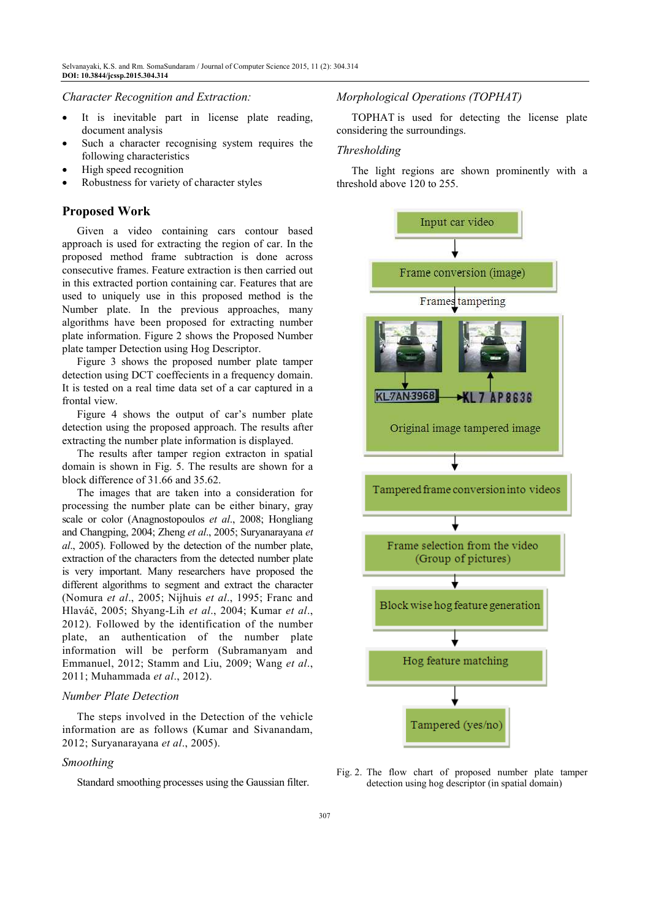*Character Recognition and Extraction:* 

- It is inevitable part in license plate reading, document analysis
- Such a character recognising system requires the following characteristics
- High speed recognition
- Robustness for variety of character styles

## **Proposed Work**

Given a video containing cars contour based approach is used for extracting the region of car. In the proposed method frame subtraction is done across consecutive frames. Feature extraction is then carried out in this extracted portion containing car. Features that are used to uniquely use in this proposed method is the Number plate. In the previous approaches, many algorithms have been proposed for extracting number plate information. Figure 2 shows the Proposed Number plate tamper Detection using Hog Descriptor.

Figure 3 shows the proposed number plate tamper detection using DCT coeffecients in a frequency domain. It is tested on a real time data set of a car captured in a frontal view.

Figure 4 shows the output of car's number plate detection using the proposed approach. The results after extracting the number plate information is displayed.

The results after tamper region extracton in spatial domain is shown in Fig. 5. The results are shown for a block difference of 31.66 and 35.62.

The images that are taken into a consideration for processing the number plate can be either binary, gray scale or color (Anagnostopoulos *et al*., 2008; Hongliang and Changping, 2004; Zheng *et al*., 2005; Suryanarayana *et al*., 2005). Followed by the detection of the number plate, extraction of the characters from the detected number plate is very important. Many researchers have proposed the different algorithms to segment and extract the character (Nomura *et al*., 2005; Nijhuis *et al*., 1995; Franc and Hlaváč, 2005; Shyang-Lih *et al*., 2004; Kumar *et al*., 2012). Followed by the identification of the number plate, an authentication of the number plate information will be perform (Subramanyam and Emmanuel, 2012; Stamm and Liu, 2009; Wang *et al*., 2011; Muhammada *et al*., 2012).

#### *Number Plate Detection*

The steps involved in the Detection of the vehicle information are as follows (Kumar and Sivanandam, 2012; Suryanarayana *et al*., 2005).

#### *Smoothing*

Standard smoothing processes using the Gaussian filter.

## *Morphological Operations (TOPHAT)*

TOPHAT is used for detecting the license plate considering the surroundings.

# *Thresholding*

The light regions are shown prominently with a threshold above 120 to 255.



Fig. 2. The flow chart of proposed number plate tamper detection using hog descriptor (in spatial domain)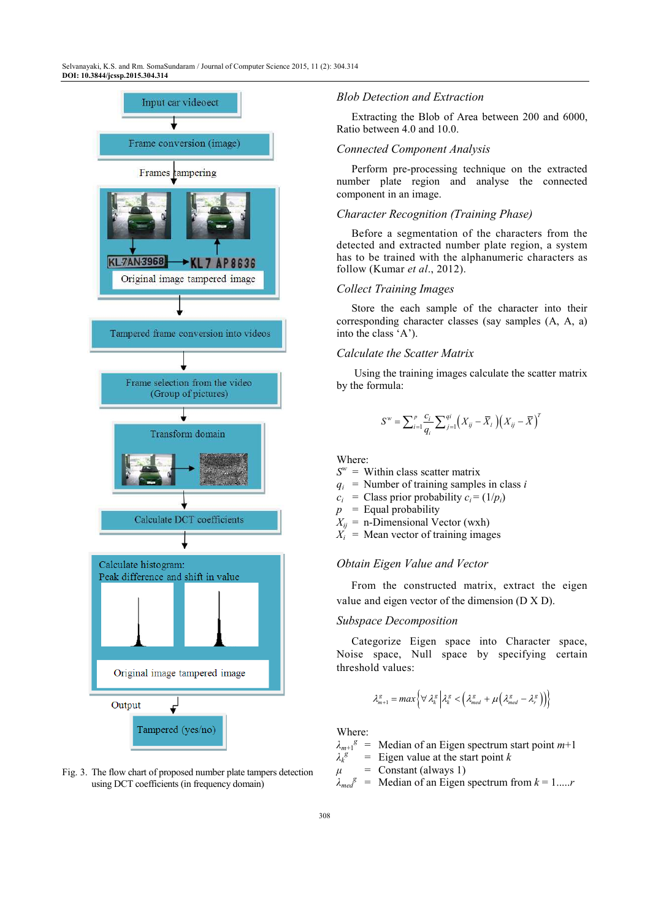Selvanayaki, K.S. and Rm. SomaSundaram / Journal of Computer Science 2015, 11 (2): 304.314 **DOI: 10.3844/jcssp.2015.304.314** 



Fig. 3. The flow chart of proposed number plate tampers detection using DCT coefficients (in frequency domain)

#### *Blob Detection and Extraction*

Extracting the Blob of Area between 200 and 6000, Ratio between 4.0 and 10.0.

#### *Connected Component Analysis*

Perform pre-processing technique on the extracted number plate region and analyse the connected component in an image.

## *Character Recognition (Training Phase)*

Before a segmentation of the characters from the detected and extracted number plate region, a system has to be trained with the alphanumeric characters as follow (Kumar *et al*., 2012).

#### *Collect Training Images*

Store the each sample of the character into their corresponding character classes (say samples (A, A, a) into the class 'A').

#### *Calculate the Scatter Matrix*

 Using the training images calculate the scatter matrix by the formula:

$$
S^w = \sum\nolimits_{i=1}^p \frac{c_i}{q_i} \sum\nolimits_{j=1}^{qi} \left( X_{ij} - \overline{X}_i \right) \left( X_{ij} - \overline{X} \right)^T
$$

Where:

 $S^w$  = Within class scatter matrix

- $q_i$  = Number of training samples in class *i*
- $c_i$  = Class prior probability  $c_i$  = (1/*p<sub>i</sub>*)
- $p =$  Equal probability
- $X_{ij}$  = n-Dimensional Vector (wxh)
- $X_i$  = Mean vector of training images

#### *Obtain Eigen Value and Vector*

From the constructed matrix, extract the eigen value and eigen vector of the dimension (D X D).

#### *Subspace Decomposition*

Categorize Eigen space into Character space, Noise space, Null space by specifying certain threshold values:

$$
\lambda_{m+1}^g = max \left\{ \forall \lambda_k^g \left| \lambda_k^g < \left( \lambda_{med}^g + \mu \left( \lambda_{med}^g - \lambda_r^g \right) \right) \right\}
$$

#### Where:

 $\lambda_{m+1}^g$  = Median of an Eigen spectrum start point  $m+1$ 

- $λ_k^g$  $=$  Eigen value at the start point  $k$
- $\mu$  = Constant (always 1)
- $\lambda_{med}$ <sup>g</sup> = Median of an Eigen spectrum from  $k = 1,....r$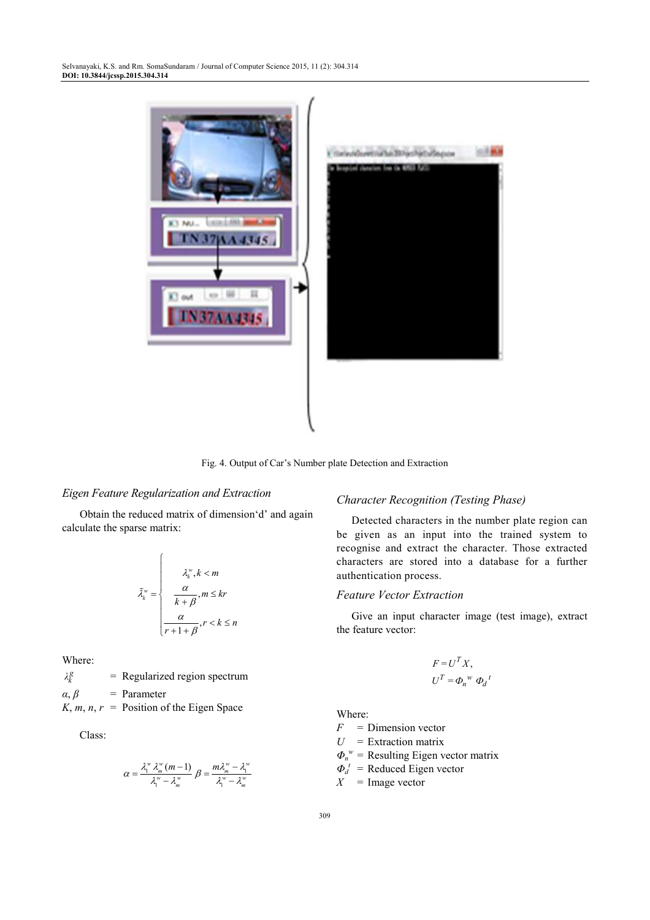

Fig. 4. Output of Car's Number plate Detection and Extraction

## *Eigen Feature Regularization and Extraction*

 Obtain the reduced matrix of dimension'd' and again calculate the sparse matrix:

$$
\tilde{\lambda}_k^w = \begin{cases}\n\lambda_k^w, k < m \\
\frac{\alpha}{k + \beta}, m \le kr \\
\frac{\alpha}{r + 1 + \beta}, r < k \le n\n\end{cases}
$$

Where:

*g k λ* = Regularized region spectrum  $\alpha, \beta$  = Parameter *K*, *m*,  $n, r$  = Position of the Eigen Space

Class:

$$
\alpha = \frac{\lambda_1^w \lambda_m^w (m-1)}{\lambda_1^w - \lambda_m^w} \beta = \frac{m \lambda_m^w - \lambda_1^w}{\lambda_1^w - \lambda_m^w}
$$

# *Character Recognition (Testing Phase)*

Detected characters in the number plate region can be given as an input into the trained system to recognise and extract the character. Those extracted characters are stored into a database for a further authentication process.

# *Feature Vector Extraction*

Give an input character image (test image), extract the feature vector:

$$
F = U^T X,
$$
  

$$
U^T = \Phi_n^{\ w} \Phi_d^{\ t}
$$

Where:

*F* = Dimension vector

 $U =$ Extraction matrix

- $\Phi_n^{\ w}$  = Resulting Eigen vector matrix
- $\Phi_d^t$  = Reduced Eigen vector
- $X = \text{Image vector}$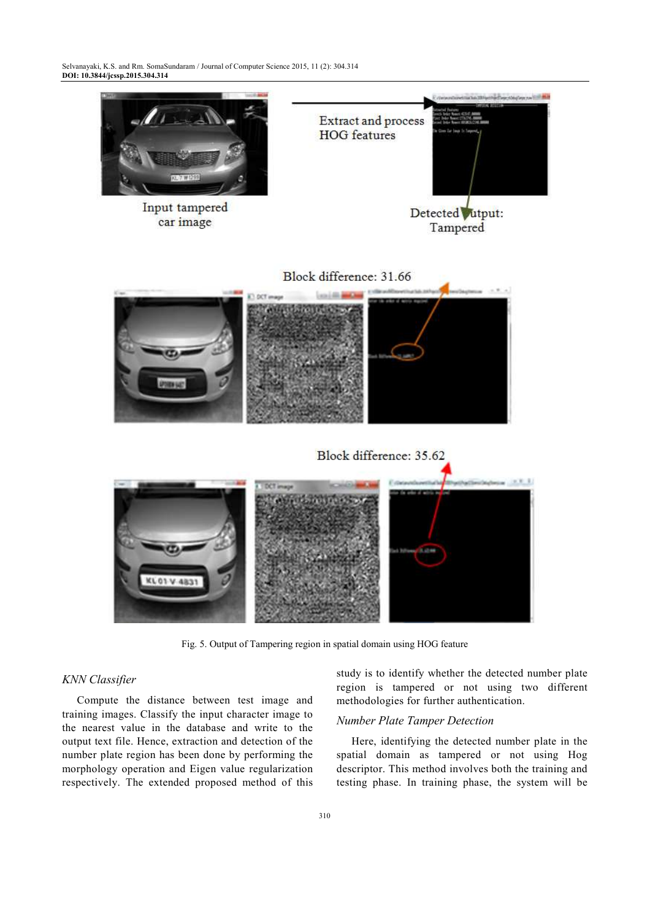Selvanayaki, K.S. and Rm. SomaSundaram / Journal of Computer Science 2015, 11 (2): 304.314 **DOI: 10.3844/jcssp.2015.304.314** 



Fig. 5. Output of Tampering region in spatial domain using HOG feature

## *KNN Classifier*

Compute the distance between test image and training images. Classify the input character image to the nearest value in the database and write to the output text file. Hence, extraction and detection of the number plate region has been done by performing the morphology operation and Eigen value regularization respectively. The extended proposed method of this

study is to identify whether the detected number plate region is tampered or not using two different methodologies for further authentication.

## *Number Plate Tamper Detection*

Here, identifying the detected number plate in the spatial domain as tampered or not using Hog descriptor. This method involves both the training and testing phase. In training phase, the system will be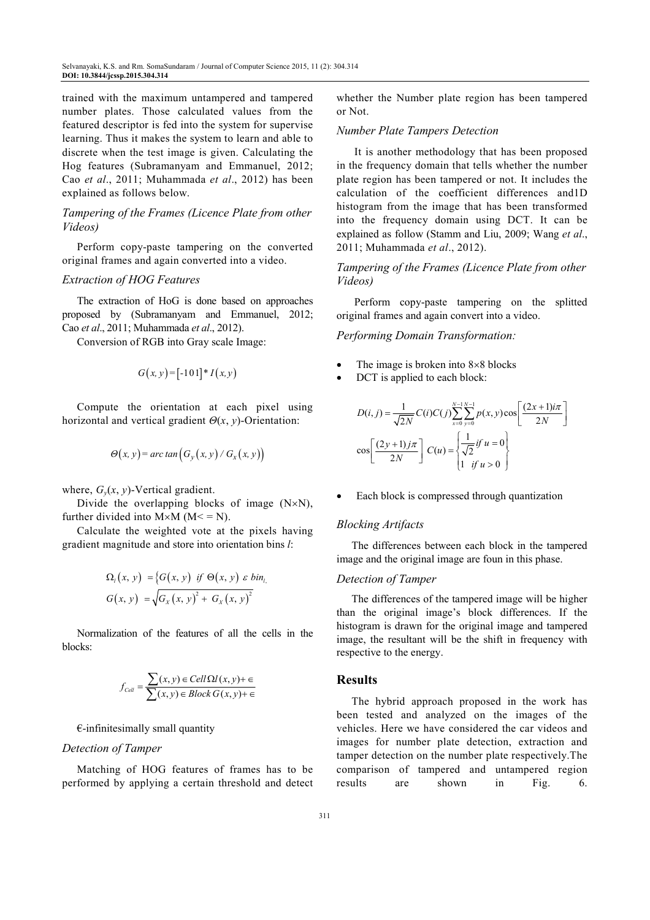trained with the maximum untampered and tampered number plates. Those calculated values from the featured descriptor is fed into the system for supervise learning. Thus it makes the system to learn and able to discrete when the test image is given. Calculating the Hog features (Subramanyam and Emmanuel, 2012; Cao *et al*., 2011; Muhammada *et al*., 2012) has been explained as follows below.

## *Tampering of the Frames (Licence Plate from other Videos)*

Perform copy-paste tampering on the converted original frames and again converted into a video.

## *Extraction of HOG Features*

The extraction of HoG is done based on approaches proposed by (Subramanyam and Emmanuel, 2012; Cao *et al*., 2011; Muhammada *et al*., 2012).

Conversion of RGB into Gray scale Image:

$$
G(x, y) = [-101]^* I(x, y)
$$

Compute the orientation at each pixel using horizontal and vertical gradient *Θ*(*x*, *y*)-Orientation:

$$
\Theta(x, y) = \arctan\left(G_y(x, y) / G_x(x, y)\right)
$$

where,  $G_v(x, y)$ -Vertical gradient.

Divide the overlapping blocks of image  $(N \times N)$ , further divided into  $M \times M$  ( $M \leq N$ ).

Calculate the weighted vote at the pixels having gradient magnitude and store into orientation bins *l*:

$$
\Omega_{l}(x, y) = \left\{ G(x, y) \text{ if } \Theta(x, y) \varepsilon \text{ bin}_{l,} \right\}
$$

$$
G(x, y) = \sqrt{G_{x}(x, y)^{2} + G_{x}(x, y)^{2}}
$$

Normalization of the features of all the cells in the blocks:

$$
f_{Cell} = \frac{\sum(x, y) \in Cell \Omega l(x, y) + \epsilon}{\sum(x, y) \in Block G(x, y) + \epsilon}
$$

 $\epsilon$ -infinitesimally small quantity

## *Detection of Tamper*

Matching of HOG features of frames has to be performed by applying a certain threshold and detect whether the Number plate region has been tampered or Not.

#### *Number Plate Tampers Detection*

 It is another methodology that has been proposed in the frequency domain that tells whether the number plate region has been tampered or not. It includes the calculation of the coefficient differences and1D histogram from the image that has been transformed into the frequency domain using DCT. It can be explained as follow (Stamm and Liu, 2009; Wang *et al*., 2011; Muhammada *et al*., 2012).

## *Tampering of the Frames (Licence Plate from other Videos)*

 Perform copy-paste tampering on the splitted original frames and again convert into a video.

## *Performing Domain Transformation:*

- The image is broken into  $8\times8$  blocks
- DCT is applied to each block:

$$
D(i,j) = \frac{1}{\sqrt{2N}} C(i)C(j) \sum_{x=0}^{N-1} \sum_{y=0}^{N-1} p(x,y) \cos\left[\frac{(2x+1)i\pi}{2N}\right]
$$

$$
\cos\left[\frac{(2y+1)j\pi}{2N}\right] C(u) = \begin{cases} \frac{1}{\sqrt{2}} if \ u = 0\\ 1 \quad \text{if} \ u > 0 \end{cases}
$$

Each block is compressed through quantization

## *Blocking Artifacts*

The differences between each block in the tampered image and the original image are foun in this phase.

#### *Detection of Tamper*

The differences of the tampered image will be higher than the original image's block differences. If the histogram is drawn for the original image and tampered image, the resultant will be the shift in frequency with respective to the energy.

#### **Results**

The hybrid approach proposed in the work has been tested and analyzed on the images of the vehicles. Here we have considered the car videos and images for number plate detection, extraction and tamper detection on the number plate respectively.The comparison of tampered and untampered region results are shown in Fig. 6.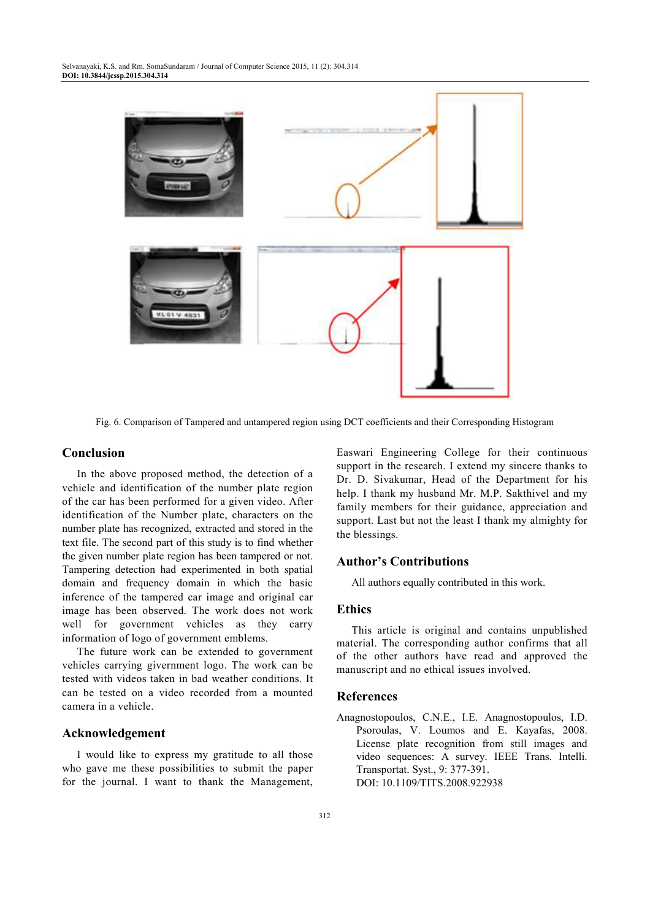

Fig. 6. Comparison of Tampered and untampered region using DCT coefficients and their Corresponding Histogram

# **Conclusion**

In the above proposed method, the detection of a vehicle and identification of the number plate region of the car has been performed for a given video. After identification of the Number plate, characters on the number plate has recognized, extracted and stored in the text file. The second part of this study is to find whether the given number plate region has been tampered or not. Tampering detection had experimented in both spatial domain and frequency domain in which the basic inference of the tampered car image and original car image has been observed. The work does not work well for government vehicles as they carry information of logo of government emblems.

The future work can be extended to government vehicles carrying givernment logo. The work can be tested with videos taken in bad weather conditions. It can be tested on a video recorded from a mounted camera in a vehicle.

## **Acknowledgement**

I would like to express my gratitude to all those who gave me these possibilities to submit the paper for the journal. I want to thank the Management, Easwari Engineering College for their continuous support in the research. I extend my sincere thanks to Dr. D. Sivakumar, Head of the Department for his help. I thank my husband Mr. M.P. Sakthivel and my family members for their guidance, appreciation and support. Last but not the least I thank my almighty for the blessings.

# **Author's Contributions**

All authors equally contributed in this work.

# **Ethics**

This article is original and contains unpublished material. The corresponding author confirms that all of the other authors have read and approved the manuscript and no ethical issues involved.

#### **References**

Anagnostopoulos, C.N.E., I.E. Anagnostopoulos, I.D. Psoroulas, V. Loumos and E. Kayafas, 2008. License plate recognition from still images and video sequences: A survey. IEEE Trans. Intelli. Transportat. Syst., 9: 377-391. DOI: 10.1109/TITS.2008.922938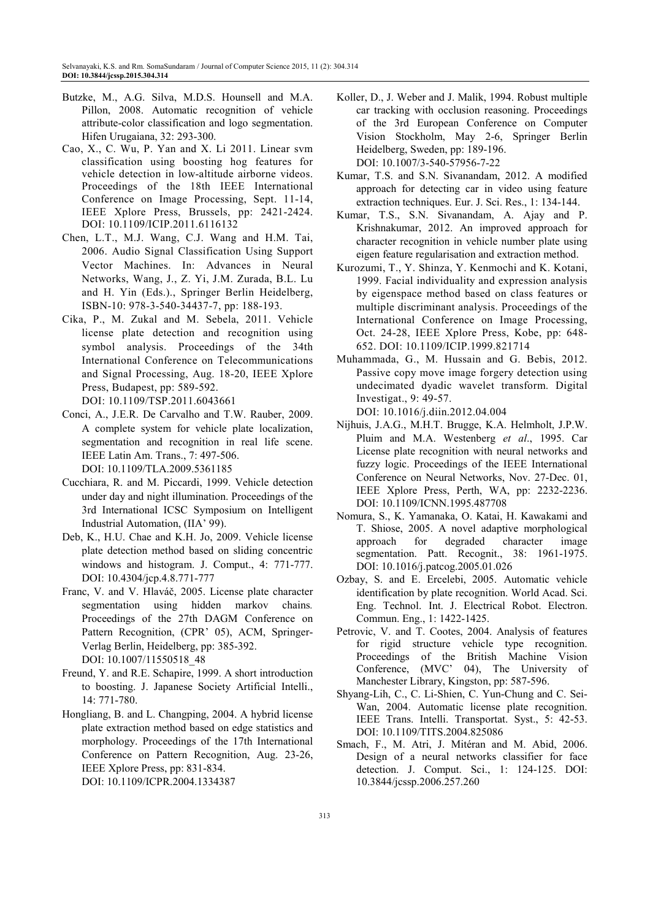- Butzke, M., A.G. Silva, M.D.S. Hounsell and M.A. Pillon, 2008. Automatic recognition of vehicle attribute-color classification and logo segmentation. Hifen Urugaiana, 32: 293-300.
- Cao, X., C. Wu, P. Yan and X. Li 2011. Linear svm classification using boosting hog features for vehicle detection in low-altitude airborne videos. Proceedings of the 18th IEEE International Conference on Image Processing, Sept. 11-14, IEEE Xplore Press, Brussels, pp: 2421-2424. DOI: 10.1109/ICIP.2011.6116132
- Chen, L.T., M.J. Wang, C.J. Wang and H.M. Tai, 2006. Audio Signal Classification Using Support Vector Machines. In: Advances in Neural Networks, Wang, J., Z. Yi, J.M. Zurada, B.L. Lu and H. Yin (Eds.)., Springer Berlin Heidelberg, ISBN-10: 978-3-540-34437-7, pp: 188-193.
- Cika, P., M. Zukal and M. Sebela, 2011. Vehicle license plate detection and recognition using symbol analysis. Proceedings of the 34th International Conference on Telecommunications and Signal Processing, Aug. 18-20, IEEE Xplore Press, Budapest, pp: 589-592. DOI: 10.1109/TSP.2011.6043661
- Conci, A., J.E.R. De Carvalho and T.W. Rauber, 2009. A complete system for vehicle plate localization, segmentation and recognition in real life scene. IEEE Latin Am. Trans., 7: 497-506. DOI: 10.1109/TLA.2009.5361185
- Cucchiara, R. and M. Piccardi, 1999. Vehicle detection under day and night illumination. Proceedings of the 3rd International ICSC Symposium on Intelligent Industrial Automation, (IIA' 99).
- Deb, K., H.U. Chae and K.H. Jo, 2009. Vehicle license plate detection method based on sliding concentric windows and histogram. J. Comput., 4: 771-777. DOI: 10.4304/jcp.4.8.771-777
- Franc, V. and V. Hlaváč, 2005. License plate character segmentation using hidden markov chains*.* Proceedings of the 27th DAGM Conference on Pattern Recognition, (CPR' 05), ACM, Springer-Verlag Berlin, Heidelberg, pp: 385-392. DOI: 10.1007/11550518\_48
- Freund, Y. and R.E. Schapire, 1999. A short introduction to boosting. J. Japanese Society Artificial Intelli., 14: 771-780.
- Hongliang, B. and L. Changping, 2004. A hybrid license plate extraction method based on edge statistics and morphology. Proceedings of the 17th International Conference on Pattern Recognition, Aug. 23-26, IEEE Xplore Press, pp: 831-834. DOI: 10.1109/ICPR.2004.1334387
- Koller, D., J. Weber and J. Malik, 1994. Robust multiple car tracking with occlusion reasoning. Proceedings of the 3rd European Conference on Computer Vision Stockholm, May 2-6, Springer Berlin Heidelberg, Sweden, pp: 189-196. DOI: 10.1007/3-540-57956-7-22
- Kumar, T.S. and S.N. Sivanandam, 2012. A modified approach for detecting car in video using feature extraction techniques. Eur. J. Sci. Res., 1: 134-144.
- Kumar, T.S., S.N. Sivanandam, A. Ajay and P. Krishnakumar, 2012. An improved approach for character recognition in vehicle number plate using eigen feature regularisation and extraction method.
- Kurozumi, T., Y. Shinza, Y. Kenmochi and K. Kotani, 1999. Facial individuality and expression analysis by eigenspace method based on class features or multiple discriminant analysis. Proceedings of the International Conference on Image Processing, Oct. 24-28, IEEE Xplore Press, Kobe, pp: 648- 652. DOI: 10.1109/ICIP.1999.821714
- Muhammada, G., M. Hussain and G. Bebis, 2012. Passive copy move image forgery detection using undecimated dyadic wavelet transform. Digital Investigat., 9: 49-57.

DOI: 10.1016/j.diin.2012.04.004

- Nijhuis, J.A.G., M.H.T. Brugge, K.A. Helmholt, J.P.W. Pluim and M.A. Westenberg *et al*., 1995. Car License plate recognition with neural networks and fuzzy logic. Proceedings of the IEEE International Conference on Neural Networks, Nov. 27-Dec. 01, IEEE Xplore Press, Perth, WA, pp: 2232-2236. DOI: 10.1109/ICNN.1995.487708
- Nomura, S., K. Yamanaka, O. Katai, H. Kawakami and T. Shiose, 2005. A novel adaptive morphological approach for degraded character image segmentation. Patt. Recognit., 38: 1961-1975. DOI: 10.1016/j.patcog.2005.01.026
- Ozbay, S. and E. Ercelebi, 2005. Automatic vehicle identification by plate recognition. World Acad. Sci. Eng. Technol. Int. J. Electrical Robot. Electron. Commun. Eng., 1: 1422-1425.
- Petrovic, V. and T. Cootes, 2004. Analysis of features for rigid structure vehicle type recognition. Proceedings of the British Machine Vision Conference, (MVC' 04), The University of Manchester Library, Kingston, pp: 587-596.
- Shyang-Lih, C., C. Li-Shien, C. Yun-Chung and C. Sei-Wan, 2004. Automatic license plate recognition. IEEE Trans. Intelli. Transportat. Syst., 5: 42-53. DOI: 10.1109/TITS.2004.825086
- Smach, F., M. Atri, J. Mitéran and M. Abid, 2006. Design of a neural networks classifier for face detection. J. Comput. Sci., 1: 124-125. DOI: 10.3844/jcssp.2006.257.260